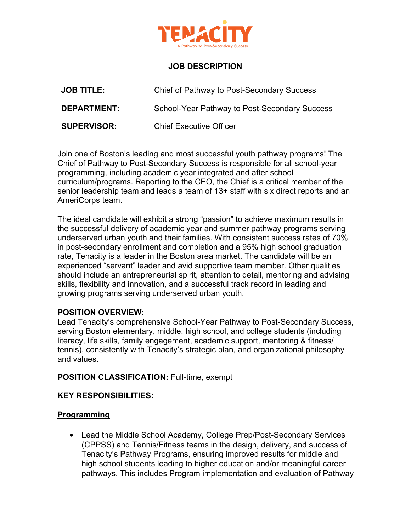

# **JOB DESCRIPTION**

| <b>JOB TITLE:</b>  | Chief of Pathway to Post-Secondary Success    |
|--------------------|-----------------------------------------------|
| <b>DEPARTMENT:</b> | School-Year Pathway to Post-Secondary Success |
| <b>SUPERVISOR:</b> | <b>Chief Executive Officer</b>                |

Join one of Boston's leading and most successful youth pathway programs! The Chief of Pathway to Post-Secondary Success is responsible for all school-year programming, including academic year integrated and after school curriculum/programs. Reporting to the CEO, the Chief is a critical member of the senior leadership team and leads a team of 13+ staff with six direct reports and an AmeriCorps team.

The ideal candidate will exhibit a strong "passion" to achieve maximum results in the successful delivery of academic year and summer pathway programs serving underserved urban youth and their families. With consistent success rates of 70% in post-secondary enrollment and completion and a 95% high school graduation rate, Tenacity is a leader in the Boston area market. The candidate will be an experienced "servant" leader and avid supportive team member. Other qualities should include an entrepreneurial spirit, attention to detail, mentoring and advising skills, flexibility and innovation, and a successful track record in leading and growing programs serving underserved urban youth.

#### **POSITION OVERVIEW:**

Lead Tenacity's comprehensive School-Year Pathway to Post-Secondary Success, serving Boston elementary, middle, high school, and college students (including literacy, life skills, family engagement, academic support, mentoring & fitness/ tennis), consistently with Tenacity's strategic plan, and organizational philosophy and values.

**POSITION CLASSIFICATION:** Full-time, exempt

# **KEY RESPONSIBILITIES:**

#### **Programming**

• Lead the Middle School Academy, College Prep/Post-Secondary Services (CPPSS) and Tennis/Fitness teams in the design, delivery, and success of Tenacity's Pathway Programs, ensuring improved results for middle and high school students leading to higher education and/or meaningful career pathways. This includes Program implementation and evaluation of Pathway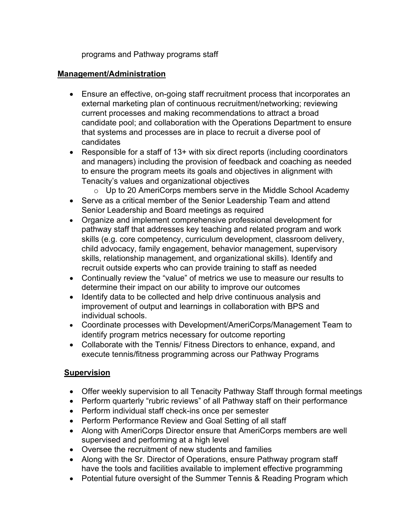programs and Pathway programs staff

#### **Management/Administration**

- Ensure an effective, on-going staff recruitment process that incorporates an external marketing plan of continuous recruitment/networking; reviewing current processes and making recommendations to attract a broad candidate pool; and collaboration with the Operations Department to ensure that systems and processes are in place to recruit a diverse pool of candidates
- Responsible for a staff of 13+ with six direct reports (including coordinators and managers) including the provision of feedback and coaching as needed to ensure the program meets its goals and objectives in alignment with Tenacity's values and organizational objectives
	- o Up to 20 AmeriCorps members serve in the Middle School Academy
- Serve as a critical member of the Senior Leadership Team and attend Senior Leadership and Board meetings as required
- Organize and implement comprehensive professional development for pathway staff that addresses key teaching and related program and work skills (e.g. core competency, curriculum development, classroom delivery, child advocacy, family engagement, behavior management, supervisory skills, relationship management, and organizational skills). Identify and recruit outside experts who can provide training to staff as needed
- Continually review the "value" of metrics we use to measure our results to determine their impact on our ability to improve our outcomes
- Identify data to be collected and help drive continuous analysis and improvement of output and learnings in collaboration with BPS and individual schools.
- Coordinate processes with Development/AmeriCorps/Management Team to identify program metrics necessary for outcome reporting
- Collaborate with the Tennis/ Fitness Directors to enhance, expand, and execute tennis/fitness programming across our Pathway Programs

# **Supervision**

- Offer weekly supervision to all Tenacity Pathway Staff through formal meetings
- Perform quarterly "rubric reviews" of all Pathway staff on their performance
- Perform individual staff check-ins once per semester
- Perform Performance Review and Goal Setting of all staff
- Along with AmeriCorps Director ensure that AmeriCorps members are well supervised and performing at a high level
- Oversee the recruitment of new students and families
- Along with the Sr. Director of Operations, ensure Pathway program staff have the tools and facilities available to implement effective programming
- Potential future oversight of the Summer Tennis & Reading Program which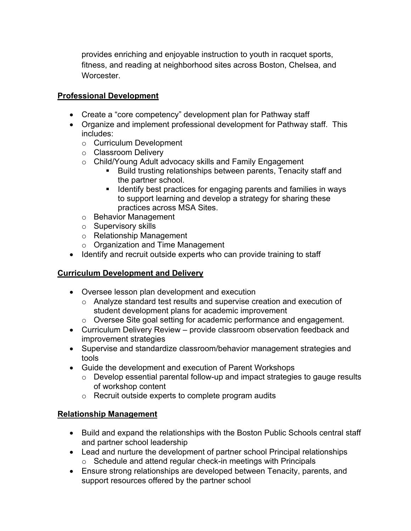provides enriching and enjoyable instruction to youth in racquet sports, fitness, and reading at neighborhood sites across Boston, Chelsea, and Worcester.

#### **Professional Development**

- Create a "core competency" development plan for Pathway staff
- Organize and implement professional development for Pathway staff. This includes:
	- o Curriculum Development
	- o Classroom Delivery
	- o Child/Young Adult advocacy skills and Family Engagement
		- Build trusting relationships between parents, Tenacity staff and the partner school.
		- Identify best practices for engaging parents and families in ways to support learning and develop a strategy for sharing these practices across MSA Sites.
	- o Behavior Management
	- o Supervisory skills
	- o Relationship Management
	- o Organization and Time Management
- Identify and recruit outside experts who can provide training to staff

# **Curriculum Development and Delivery**

- Oversee lesson plan development and execution
	- o Analyze standard test results and supervise creation and execution of student development plans for academic improvement
	- o Oversee Site goal setting for academic performance and engagement.
- Curriculum Delivery Review provide classroom observation feedback and improvement strategies
- Supervise and standardize classroom/behavior management strategies and tools
- Guide the development and execution of Parent Workshops
	- $\circ$  Develop essential parental follow-up and impact strategies to gauge results of workshop content
	- o Recruit outside experts to complete program audits

# **Relationship Management**

- Build and expand the relationships with the Boston Public Schools central staff and partner school leadership
- Lead and nurture the development of partner school Principal relationships o Schedule and attend regular check-in meetings with Principals
- Ensure strong relationships are developed between Tenacity, parents, and support resources offered by the partner school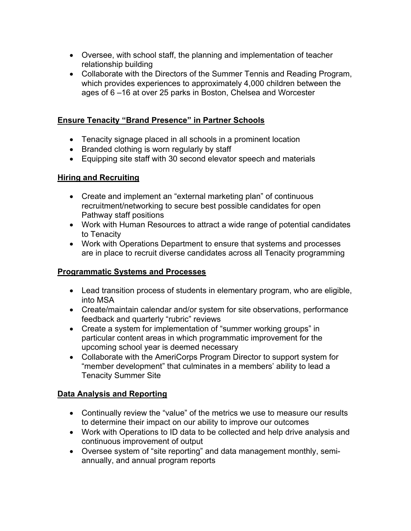- Oversee, with school staff, the planning and implementation of teacher relationship building
- Collaborate with the Directors of the Summer Tennis and Reading Program, which provides experiences to approximately 4,000 children between the ages of 6 –16 at over 25 parks in Boston, Chelsea and Worcester

#### **Ensure Tenacity "Brand Presence" in Partner Schools**

- Tenacity signage placed in all schools in a prominent location
- Branded clothing is worn regularly by staff
- Equipping site staff with 30 second elevator speech and materials

#### **Hiring and Recruiting**

- Create and implement an "external marketing plan" of continuous recruitment/networking to secure best possible candidates for open Pathway staff positions
- Work with Human Resources to attract a wide range of potential candidates to Tenacity
- Work with Operations Department to ensure that systems and processes are in place to recruit diverse candidates across all Tenacity programming

#### **Programmatic Systems and Processes**

- Lead transition process of students in elementary program, who are eligible, into MSA
- Create/maintain calendar and/or system for site observations, performance feedback and quarterly "rubric" reviews
- Create a system for implementation of "summer working groups" in particular content areas in which programmatic improvement for the upcoming school year is deemed necessary
- Collaborate with the AmeriCorps Program Director to support system for "member development" that culminates in a members' ability to lead a Tenacity Summer Site

# **Data Analysis and Reporting**

- Continually review the "value" of the metrics we use to measure our results to determine their impact on our ability to improve our outcomes
- Work with Operations to ID data to be collected and help drive analysis and continuous improvement of output
- Oversee system of "site reporting" and data management monthly, semiannually, and annual program reports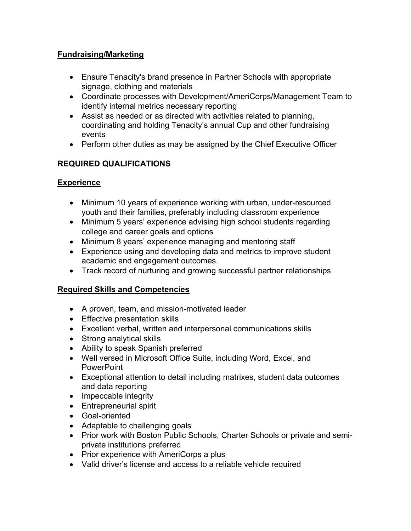# **Fundraising/Marketing**

- Ensure Tenacity's brand presence in Partner Schools with appropriate signage, clothing and materials
- Coordinate processes with Development/AmeriCorps/Management Team to identify internal metrics necessary reporting
- Assist as needed or as directed with activities related to planning, coordinating and holding Tenacity's annual Cup and other fundraising events
- Perform other duties as may be assigned by the Chief Executive Officer

# **REQUIRED QUALIFICATIONS**

# **Experience**

- Minimum 10 years of experience working with urban, under-resourced youth and their families, preferably including classroom experience
- Minimum 5 years' experience advising high school students regarding college and career goals and options
- Minimum 8 years' experience managing and mentoring staff
- Experience using and developing data and metrics to improve student academic and engagement outcomes.
- Track record of nurturing and growing successful partner relationships

# **Required Skills and Competencies**

- A proven, team, and mission-motivated leader
- Effective presentation skills
- Excellent verbal, written and interpersonal communications skills
- Strong analytical skills
- Ability to speak Spanish preferred
- Well versed in Microsoft Office Suite, including Word, Excel, and **PowerPoint**
- Exceptional attention to detail including matrixes, student data outcomes and data reporting
- Impeccable integrity
- Entrepreneurial spirit
- Goal-oriented
- Adaptable to challenging goals
- Prior work with Boston Public Schools, Charter Schools or private and semiprivate institutions preferred
- Prior experience with AmeriCorps a plus
- Valid driver's license and access to a reliable vehicle required